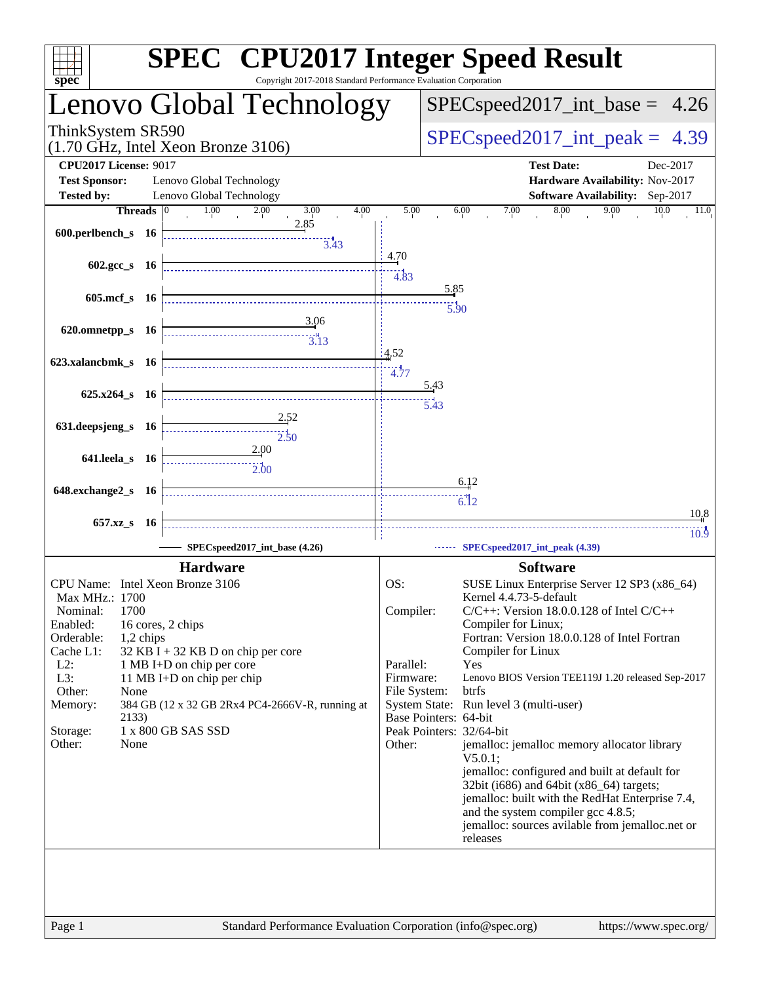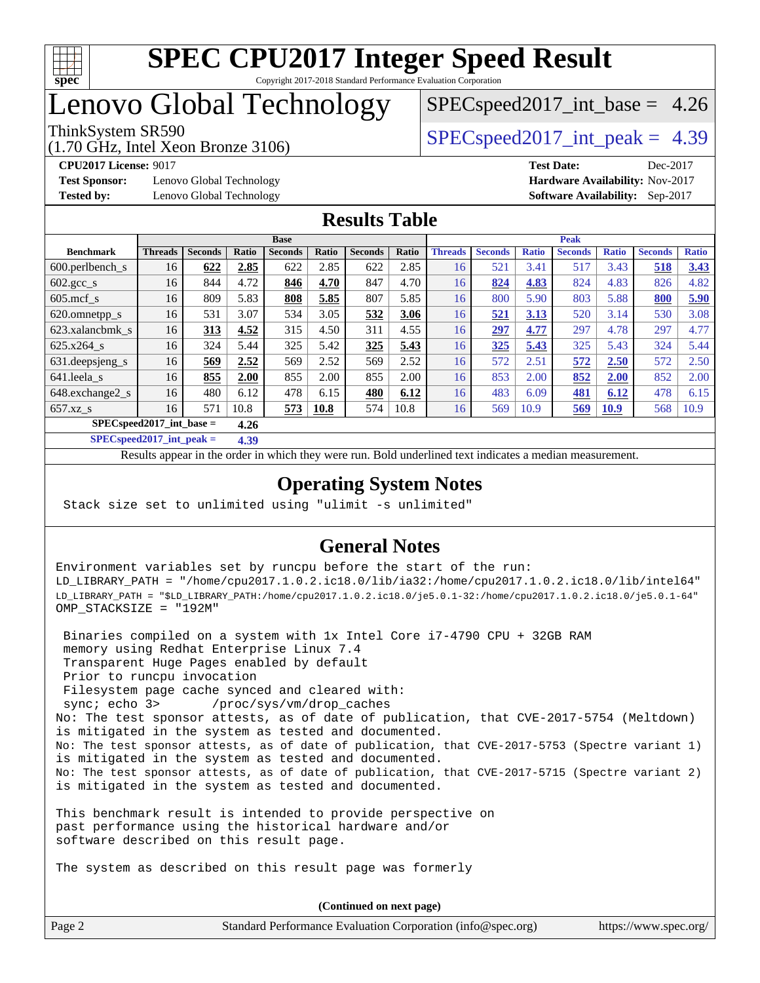

# Lenovo Global Technology

(1.70 GHz, Intel Xeon Bronze 3106)

ThinkSystem SR590  $SPEC speed2017$  int peak = 4.39  $SPECspeed2017\_int\_base = 4.26$ 

**[Test Sponsor:](http://www.spec.org/auto/cpu2017/Docs/result-fields.html#TestSponsor)** Lenovo Global Technology **[Hardware Availability:](http://www.spec.org/auto/cpu2017/Docs/result-fields.html#HardwareAvailability)** Nov-2017 **[Tested by:](http://www.spec.org/auto/cpu2017/Docs/result-fields.html#Testedby)** Lenovo Global Technology **[Software Availability:](http://www.spec.org/auto/cpu2017/Docs/result-fields.html#SoftwareAvailability)** Sep-2017

**[CPU2017 License:](http://www.spec.org/auto/cpu2017/Docs/result-fields.html#CPU2017License)** 9017 **[Test Date:](http://www.spec.org/auto/cpu2017/Docs/result-fields.html#TestDate)** Dec-2017

**[Results Table](http://www.spec.org/auto/cpu2017/Docs/result-fields.html#ResultsTable)**

|                                      | <b>Base</b>    |                |       |                |             | <b>Peak</b>    |       |                |                |              |                |              |                |              |
|--------------------------------------|----------------|----------------|-------|----------------|-------------|----------------|-------|----------------|----------------|--------------|----------------|--------------|----------------|--------------|
| <b>Benchmark</b>                     | <b>Threads</b> | <b>Seconds</b> | Ratio | <b>Seconds</b> | Ratio       | <b>Seconds</b> | Ratio | <b>Threads</b> | <b>Seconds</b> | <b>Ratio</b> | <b>Seconds</b> | <b>Ratio</b> | <b>Seconds</b> | <b>Ratio</b> |
| 600.perlbench_s                      | 16             | 622            | 2.85  | 622            | 2.85        | 622            | 2.85  | 16             | 521            | 3.41         | 517            | 3.43         | 518            | 3.43         |
| $602 \text{.} \text{gcc}\text{_<}$ s | 16             | 844            | 4.72  | 846            | 4.70        | 847            | 4.70  | 16             | 824            | 4.83         | 824            | 4.83         | 826            | 4.82         |
| $605 \text{.mcf}$ s                  | 16             | 809            | 5.83  | 808            | 5.85        | 807            | 5.85  | 16             | 800            | 5.90         | 803            | 5.88         | 800            | 5.90         |
| 620.omnetpp_s                        | 16             | 531            | 3.07  | 534            | 3.05        | 532            | 3.06  | 16             | 521            | 3.13         | 520            | 3.14         | 530            | 3.08         |
| 623.xalancbmk s                      | 16             | 313            | 4.52  | 315            | 4.50        | 311            | 4.55  | 16             | 297            | 4.77         | 297            | 4.78         | 297            | 4.77         |
| 625.x264 s                           | 16             | 324            | 5.44  | 325            | 5.42        | 325            | 5.43  | 16             | 325            | 5.43         | 325            | 5.43         | 324            | 5.44         |
| 631.deepsjeng_s                      | 16             | 569            | 2.52  | 569            | 2.52        | 569            | 2.52  | 16             | 572            | 2.51         | 572            | 2.50         | 572            | 2.50         |
| 641.leela s                          | 16             | 855            | 2.00  | 855            | 2.00        | 855            | 2.00  | 16             | 853            | 2.00         | 852            | <b>2.00</b>  | 852            | 2.00         |
| 648.exchange2_s                      | 16             | 480            | 6.12  | 478            | 6.15        | 480            | 6.12  | 16             | 483            | 6.09         | 481            | 6.12         | 478            | 6.15         |
| $657.xz$ s                           | 16             | 571            | 10.8  | 573            | <b>10.8</b> | 574            | 10.8  | 16             | 569            | 10.9         | 569            | <b>10.9</b>  | 568            | 10.9         |
| $SPEC speed2017$ int base =<br>4.26  |                |                |       |                |             |                |       |                |                |              |                |              |                |              |

**[SPECspeed2017\\_int\\_peak =](http://www.spec.org/auto/cpu2017/Docs/result-fields.html#SPECspeed2017intpeak) 4.39**

Results appear in the [order in which they were run.](http://www.spec.org/auto/cpu2017/Docs/result-fields.html#RunOrder) Bold underlined text [indicates a median measurement](http://www.spec.org/auto/cpu2017/Docs/result-fields.html#Median).

#### **[Operating System Notes](http://www.spec.org/auto/cpu2017/Docs/result-fields.html#OperatingSystemNotes)**

Stack size set to unlimited using "ulimit -s unlimited"

#### **[General Notes](http://www.spec.org/auto/cpu2017/Docs/result-fields.html#GeneralNotes)**

Environment variables set by runcpu before the start of the run: LD\_LIBRARY\_PATH = "/home/cpu2017.1.0.2.ic18.0/lib/ia32:/home/cpu2017.1.0.2.ic18.0/lib/intel64" LD\_LIBRARY\_PATH = "\$LD\_LIBRARY\_PATH:/home/cpu2017.1.0.2.ic18.0/je5.0.1-32:/home/cpu2017.1.0.2.ic18.0/je5.0.1-64" OMP\_STACKSIZE = "192M"

 Binaries compiled on a system with 1x Intel Core i7-4790 CPU + 32GB RAM memory using Redhat Enterprise Linux 7.4 Transparent Huge Pages enabled by default Prior to runcpu invocation Filesystem page cache synced and cleared with: sync; echo 3> /proc/sys/vm/drop\_caches No: The test sponsor attests, as of date of publication, that CVE-2017-5754 (Meltdown) is mitigated in the system as tested and documented. No: The test sponsor attests, as of date of publication, that CVE-2017-5753 (Spectre variant 1) is mitigated in the system as tested and documented. No: The test sponsor attests, as of date of publication, that CVE-2017-5715 (Spectre variant 2) is mitigated in the system as tested and documented.

This benchmark result is intended to provide perspective on past performance using the historical hardware and/or software described on this result page.

The system as described on this result page was formerly

Page 2 Standard Performance Evaluation Corporation [\(info@spec.org\)](mailto:info@spec.org) <https://www.spec.org/> **(Continued on next page)**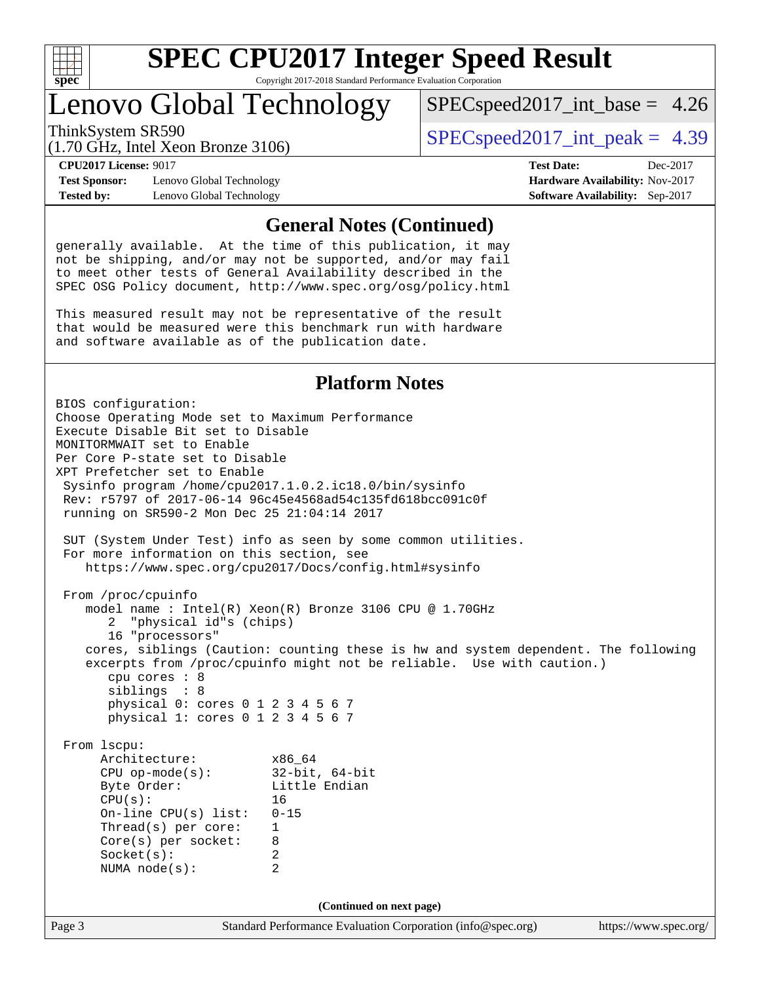

# Lenovo Global Technology

 $SPECspeed2017\_int\_base = 4.26$ 

(1.70 GHz, Intel Xeon Bronze 3106)

ThinkSystem SR590  $SPEC speed2017$  int peak = 4.39

**[Test Sponsor:](http://www.spec.org/auto/cpu2017/Docs/result-fields.html#TestSponsor)** Lenovo Global Technology **[Hardware Availability:](http://www.spec.org/auto/cpu2017/Docs/result-fields.html#HardwareAvailability)** Nov-2017 **[Tested by:](http://www.spec.org/auto/cpu2017/Docs/result-fields.html#Testedby)** Lenovo Global Technology **[Software Availability:](http://www.spec.org/auto/cpu2017/Docs/result-fields.html#SoftwareAvailability)** Sep-2017

**[CPU2017 License:](http://www.spec.org/auto/cpu2017/Docs/result-fields.html#CPU2017License)** 9017 **[Test Date:](http://www.spec.org/auto/cpu2017/Docs/result-fields.html#TestDate)** Dec-2017

#### **[General Notes \(Continued\)](http://www.spec.org/auto/cpu2017/Docs/result-fields.html#GeneralNotes)**

generally available. At the time of this publication, it may not be shipping, and/or may not be supported, and/or may fail to meet other tests of General Availability described in the SPEC OSG Policy document, <http://www.spec.org/osg/policy.html>

This measured result may not be representative of the result that would be measured were this benchmark run with hardware and software available as of the publication date.

#### **[Platform Notes](http://www.spec.org/auto/cpu2017/Docs/result-fields.html#PlatformNotes)**

Page 3 Standard Performance Evaluation Corporation [\(info@spec.org\)](mailto:info@spec.org) <https://www.spec.org/> BIOS configuration: Choose Operating Mode set to Maximum Performance Execute Disable Bit set to Disable MONITORMWAIT set to Enable Per Core P-state set to Disable XPT Prefetcher set to Enable Sysinfo program /home/cpu2017.1.0.2.ic18.0/bin/sysinfo Rev: r5797 of 2017-06-14 96c45e4568ad54c135fd618bcc091c0f running on SR590-2 Mon Dec 25 21:04:14 2017 SUT (System Under Test) info as seen by some common utilities. For more information on this section, see <https://www.spec.org/cpu2017/Docs/config.html#sysinfo> From /proc/cpuinfo model name : Intel(R) Xeon(R) Bronze 3106 CPU @ 1.70GHz 2 "physical id"s (chips) 16 "processors" cores, siblings (Caution: counting these is hw and system dependent. The following excerpts from /proc/cpuinfo might not be reliable. Use with caution.) cpu cores : 8 siblings : 8 physical 0: cores 0 1 2 3 4 5 6 7 physical 1: cores 0 1 2 3 4 5 6 7 From lscpu: Architecture: x86\_64 CPU op-mode(s): 32-bit, 64-bit Little Endian CPU(s): 16 On-line CPU(s) list: 0-15 Thread(s) per core: 1 Core(s) per socket: 8 Socket(s): 2 NUMA node(s): 2 **(Continued on next page)**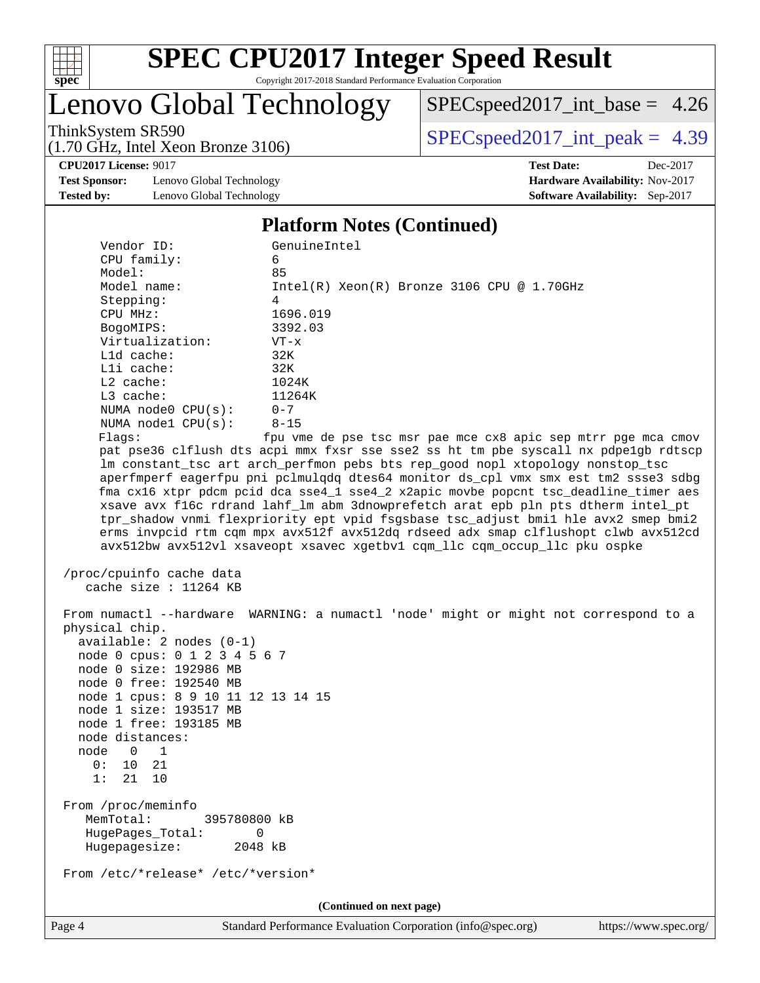

# **[SPEC CPU2017 Integer Speed Result](http://www.spec.org/auto/cpu2017/Docs/result-fields.html#SPECCPU2017IntegerSpeedResult)**

Copyright 2017-2018 Standard Performance Evaluation Corporation

# Lenovo Global Technology

[SPECspeed2017\\_int\\_base =](http://www.spec.org/auto/cpu2017/Docs/result-fields.html#SPECspeed2017intbase) 4.26

(1.70 GHz, Intel Xeon Bronze 3106)

ThinkSystem SR590<br>(1.70 GHz, Intel Year Bronze 3106) [SPECspeed2017\\_int\\_peak =](http://www.spec.org/auto/cpu2017/Docs/result-fields.html#SPECspeed2017intpeak) 4.39

**[CPU2017 License:](http://www.spec.org/auto/cpu2017/Docs/result-fields.html#CPU2017License)** 9017 **[Test Date:](http://www.spec.org/auto/cpu2017/Docs/result-fields.html#TestDate)** Dec-2017

**[Test Sponsor:](http://www.spec.org/auto/cpu2017/Docs/result-fields.html#TestSponsor)** Lenovo Global Technology **[Hardware Availability:](http://www.spec.org/auto/cpu2017/Docs/result-fields.html#HardwareAvailability)** Nov-2017 **[Tested by:](http://www.spec.org/auto/cpu2017/Docs/result-fields.html#Testedby)** Lenovo Global Technology **[Software Availability:](http://www.spec.org/auto/cpu2017/Docs/result-fields.html#SoftwareAvailability)** Sep-2017

#### **[Platform Notes \(Continued\)](http://www.spec.org/auto/cpu2017/Docs/result-fields.html#PlatformNotes)**

| Vendor ID:                                      | GenuineIntel                                                                                                                                         |  |  |  |  |
|-------------------------------------------------|------------------------------------------------------------------------------------------------------------------------------------------------------|--|--|--|--|
| CPU family:                                     | 6                                                                                                                                                    |  |  |  |  |
| Model:                                          | 85                                                                                                                                                   |  |  |  |  |
| Model name:                                     | $Intel(R) Xeon(R) Bronze 3106 CPU @ 1.70GHz$                                                                                                         |  |  |  |  |
| Stepping:                                       | 4                                                                                                                                                    |  |  |  |  |
| CPU MHz:                                        | 1696.019                                                                                                                                             |  |  |  |  |
| BogoMIPS:                                       | 3392.03                                                                                                                                              |  |  |  |  |
| Virtualization:                                 | $VT - x$                                                                                                                                             |  |  |  |  |
| L1d cache:                                      | 32K                                                                                                                                                  |  |  |  |  |
| Lli cache:                                      | 32K                                                                                                                                                  |  |  |  |  |
| $L2$ cache:                                     | 1024K                                                                                                                                                |  |  |  |  |
| $L3$ cache:                                     | 11264K                                                                                                                                               |  |  |  |  |
| NUMA $node0$ $CPU(s):$                          | $0 - 7$                                                                                                                                              |  |  |  |  |
| NUMA nodel $CPU(s):$<br>Flags:                  | $8 - 15$                                                                                                                                             |  |  |  |  |
|                                                 | fpu vme de pse tsc msr pae mce cx8 apic sep mtrr pge mca cmov<br>pat pse36 clflush dts acpi mmx fxsr sse sse2 ss ht tm pbe syscall nx pdpelgb rdtscp |  |  |  |  |
|                                                 | lm constant_tsc art arch_perfmon pebs bts rep_good nopl xtopology nonstop_tsc                                                                        |  |  |  |  |
|                                                 | aperfmperf eagerfpu pni pclmulqdq dtes64 monitor ds_cpl vmx smx est tm2 ssse3 sdbg                                                                   |  |  |  |  |
|                                                 | fma cx16 xtpr pdcm pcid dca sse4_1 sse4_2 x2apic movbe popcnt tsc_deadline_timer aes                                                                 |  |  |  |  |
|                                                 | xsave avx f16c rdrand lahf_lm abm 3dnowprefetch arat epb pln pts dtherm intel_pt                                                                     |  |  |  |  |
|                                                 | tpr_shadow vnmi flexpriority ept vpid fsgsbase tsc_adjust bmil hle avx2 smep bmi2                                                                    |  |  |  |  |
|                                                 | erms invpcid rtm cqm mpx avx512f avx512dq rdseed adx smap clflushopt clwb avx512cd                                                                   |  |  |  |  |
|                                                 | avx512bw avx512vl xsaveopt xsavec xgetbvl cqm_llc cqm_occup_llc pku ospke                                                                            |  |  |  |  |
|                                                 |                                                                                                                                                      |  |  |  |  |
| /proc/cpuinfo cache data                        |                                                                                                                                                      |  |  |  |  |
| cache size : 11264 KB                           |                                                                                                                                                      |  |  |  |  |
|                                                 |                                                                                                                                                      |  |  |  |  |
|                                                 | From numactl --hardware WARNING: a numactl 'node' might or might not correspond to a                                                                 |  |  |  |  |
| physical chip.<br>$available: 2 nodes (0-1)$    |                                                                                                                                                      |  |  |  |  |
| node 0 cpus: 0 1 2 3 4 5 6 7                    |                                                                                                                                                      |  |  |  |  |
| node 0 size: 192986 MB                          |                                                                                                                                                      |  |  |  |  |
| node 0 free: 192540 MB                          |                                                                                                                                                      |  |  |  |  |
| node 1 cpus: 8 9 10 11 12 13 14 15              |                                                                                                                                                      |  |  |  |  |
| node 1 size: 193517 MB                          |                                                                                                                                                      |  |  |  |  |
| node 1 free: 193185 MB                          |                                                                                                                                                      |  |  |  |  |
| node distances:                                 |                                                                                                                                                      |  |  |  |  |
| node 0 1                                        |                                                                                                                                                      |  |  |  |  |
| 10 21<br>0 :                                    |                                                                                                                                                      |  |  |  |  |
| 1:<br>21 10                                     |                                                                                                                                                      |  |  |  |  |
|                                                 |                                                                                                                                                      |  |  |  |  |
| From /proc/meminfo<br>MemTotal:<br>395780800 kB |                                                                                                                                                      |  |  |  |  |
| HugePages_Total:<br>0                           |                                                                                                                                                      |  |  |  |  |
| Hugepagesize:<br>2048 kB                        |                                                                                                                                                      |  |  |  |  |
|                                                 |                                                                                                                                                      |  |  |  |  |
| From /etc/*release* /etc/*version*              |                                                                                                                                                      |  |  |  |  |
|                                                 |                                                                                                                                                      |  |  |  |  |
|                                                 | (Continued on next page)                                                                                                                             |  |  |  |  |
|                                                 | Standard Darformson as Evaluation Comparation (info@graps)                                                                                           |  |  |  |  |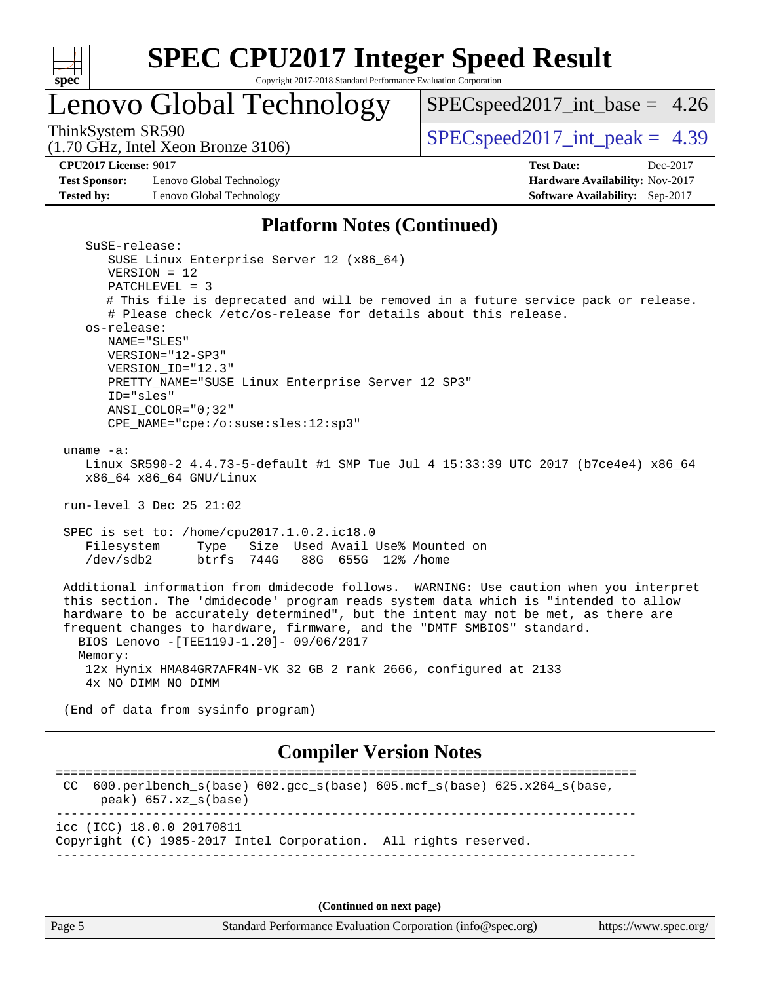

# **[SPEC CPU2017 Integer Speed Result](http://www.spec.org/auto/cpu2017/Docs/result-fields.html#SPECCPU2017IntegerSpeedResult)**

Copyright 2017-2018 Standard Performance Evaluation Corporation

# Lenovo Global Technology

[SPECspeed2017\\_int\\_base =](http://www.spec.org/auto/cpu2017/Docs/result-fields.html#SPECspeed2017intbase) 4.26

(1.70 GHz, Intel Xeon Bronze 3106)

ThinkSystem SR590<br>(1.70 GHz, Intel Year Bronze 3106) [SPECspeed2017\\_int\\_peak =](http://www.spec.org/auto/cpu2017/Docs/result-fields.html#SPECspeed2017intpeak) 4.39

**[Test Sponsor:](http://www.spec.org/auto/cpu2017/Docs/result-fields.html#TestSponsor)** Lenovo Global Technology **[Hardware Availability:](http://www.spec.org/auto/cpu2017/Docs/result-fields.html#HardwareAvailability)** Nov-2017 **[Tested by:](http://www.spec.org/auto/cpu2017/Docs/result-fields.html#Testedby)** Lenovo Global Technology **[Software Availability:](http://www.spec.org/auto/cpu2017/Docs/result-fields.html#SoftwareAvailability)** Sep-2017

**[CPU2017 License:](http://www.spec.org/auto/cpu2017/Docs/result-fields.html#CPU2017License)** 9017 **[Test Date:](http://www.spec.org/auto/cpu2017/Docs/result-fields.html#TestDate)** Dec-2017

#### **[Platform Notes \(Continued\)](http://www.spec.org/auto/cpu2017/Docs/result-fields.html#PlatformNotes)**

| SuSE-release:<br>SUSE Linux Enterprise Server 12 (x86_64)<br>$VERSION = 12$<br>PATCHLEVEL = 3<br># This file is deprecated and will be removed in a future service pack or release.<br># Please check /etc/os-release for details about this release.<br>os-release:<br>NAME="SLES"<br>$VERSION = "12-SP3"$<br>VERSION_ID="12.3"<br>PRETTY_NAME="SUSE Linux Enterprise Server 12 SP3"<br>ID="sles"     |
|--------------------------------------------------------------------------------------------------------------------------------------------------------------------------------------------------------------------------------------------------------------------------------------------------------------------------------------------------------------------------------------------------------|
| ANSI COLOR="0;32"<br>CPE_NAME="cpe:/o:suse:sles:12:sp3"                                                                                                                                                                                                                                                                                                                                                |
| uname $-a$ :<br>Linux SR590-2 4.4.73-5-default #1 SMP Tue Jul 4 15:33:39 UTC 2017 (b7ce4e4) x86_64<br>x86 64 x86 64 GNU/Linux                                                                                                                                                                                                                                                                          |
| run-level 3 Dec 25 21:02                                                                                                                                                                                                                                                                                                                                                                               |
| SPEC is set to: /home/cpu2017.1.0.2.ic18.0<br>Size Used Avail Use% Mounted on<br>Filesystem<br>Type<br>/dev/sdb2<br>btrfs 744G 88G 655G 12% / home                                                                                                                                                                                                                                                     |
| Additional information from dmidecode follows. WARNING: Use caution when you interpret<br>this section. The 'dmidecode' program reads system data which is "intended to allow<br>hardware to be accurately determined", but the intent may not be met, as there are<br>frequent changes to hardware, firmware, and the "DMTF SMBIOS" standard.<br>BIOS Lenovo - [TEE119J-1.20] - 09/06/2017<br>Memory: |
| 12x Hynix HMA84GR7AFR4N-VK 32 GB 2 rank 2666, configured at 2133<br>4x NO DIMM NO DIMM                                                                                                                                                                                                                                                                                                                 |
| (End of data from sysinfo program)                                                                                                                                                                                                                                                                                                                                                                     |
| <b>Compiler Version Notes</b>                                                                                                                                                                                                                                                                                                                                                                          |
| CC 600.perlbench_s(base) 602.gcc_s(base) 605.mcf_s(base) 625.x264_s(base,<br>$peak)$ 657.xz $s(base)$                                                                                                                                                                                                                                                                                                  |
| icc (ICC) 18.0.0 20170811<br>Copyright (C) 1985-2017 Intel Corporation. All rights reserved.                                                                                                                                                                                                                                                                                                           |
|                                                                                                                                                                                                                                                                                                                                                                                                        |

**(Continued on next page)**

Page 5 Standard Performance Evaluation Corporation [\(info@spec.org\)](mailto:info@spec.org) <https://www.spec.org/>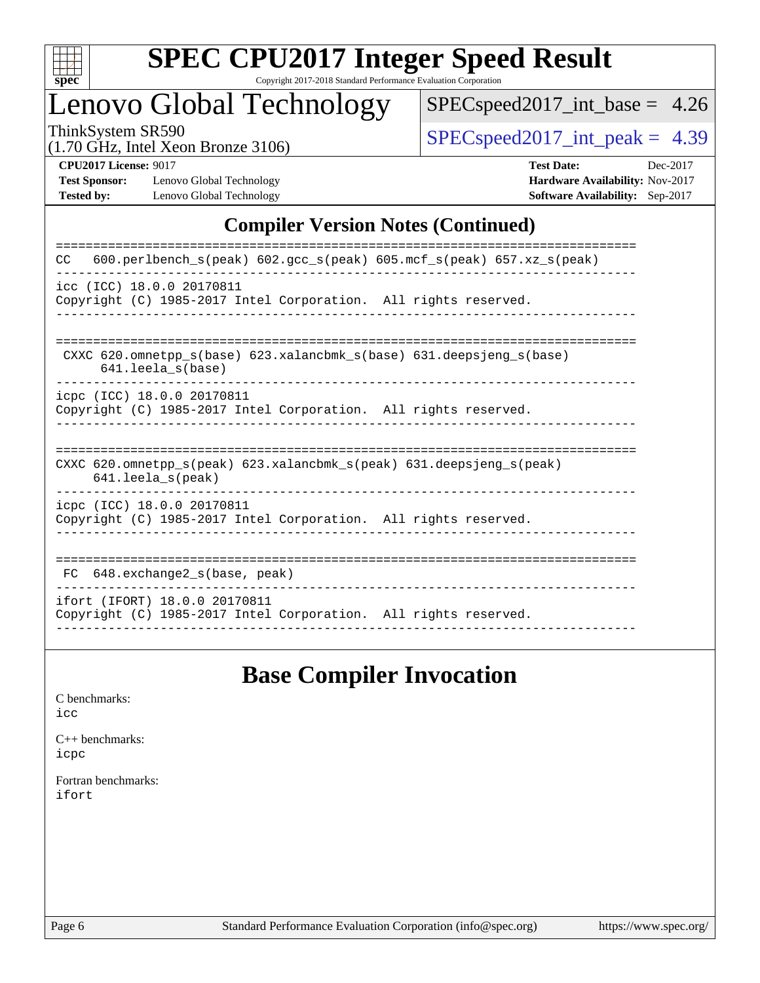

# **[SPEC CPU2017 Integer Speed Result](http://www.spec.org/auto/cpu2017/Docs/result-fields.html#SPECCPU2017IntegerSpeedResult)**

Copyright 2017-2018 Standard Performance Evaluation Corporation

# Lenovo Global Technology

[SPECspeed2017\\_int\\_base =](http://www.spec.org/auto/cpu2017/Docs/result-fields.html#SPECspeed2017intbase) 4.26

(1.70 GHz, Intel Xeon Bronze 3106)

 $SPEC speed2017\_int\_peak = 4.39$ 

**[Test Sponsor:](http://www.spec.org/auto/cpu2017/Docs/result-fields.html#TestSponsor)** Lenovo Global Technology **[Hardware Availability:](http://www.spec.org/auto/cpu2017/Docs/result-fields.html#HardwareAvailability)** Nov-2017 **[Tested by:](http://www.spec.org/auto/cpu2017/Docs/result-fields.html#Testedby)** Lenovo Global Technology **[Software Availability:](http://www.spec.org/auto/cpu2017/Docs/result-fields.html#SoftwareAvailability)** Sep-2017

**[CPU2017 License:](http://www.spec.org/auto/cpu2017/Docs/result-fields.html#CPU2017License)** 9017 **[Test Date:](http://www.spec.org/auto/cpu2017/Docs/result-fields.html#TestDate)** Dec-2017

#### **[Compiler Version Notes \(Continued\)](http://www.spec.org/auto/cpu2017/Docs/result-fields.html#CompilerVersionNotes)**

| $600. perlbench_s (peak) 602. gcc_s (peak) 605. mcf_s (peak) 657. xz_s (peak)$<br>CC.                                      |
|----------------------------------------------------------------------------------------------------------------------------|
| icc (ICC) 18.0.0 20170811<br>Copyright (C) 1985-2017 Intel Corporation. All rights reserved.                               |
| CXXC $620$ . omnetpp $s(base)$ $623$ . xalancbmk $s(base)$ $631$ . deepsjeng $s(base)$<br>641.leela s(base)                |
| icpc (ICC) 18.0.0 20170811<br>Copyright (C) 1985-2017 Intel Corporation. All rights reserved.                              |
| CXXC 620.omnetpp $s(\text{peak})$ 623.xalancbmk $s(\text{peak})$ 631.deepsjeng $s(\text{peak})$<br>$641.$ leela $s$ (peak) |
| icpc (ICC) 18.0.0 20170811<br>Copyright (C) 1985-2017 Intel Corporation. All rights reserved.                              |
| $648$ . exchange2 s(base, peak)<br>FC<br>______________________________                                                    |
| ifort (IFORT) 18.0.0 20170811<br>Copyright (C) 1985-2017 Intel Corporation. All rights reserved.                           |

## **[Base Compiler Invocation](http://www.spec.org/auto/cpu2017/Docs/result-fields.html#BaseCompilerInvocation)**

[C benchmarks](http://www.spec.org/auto/cpu2017/Docs/result-fields.html#Cbenchmarks): [icc](http://www.spec.org/cpu2017/results/res2018q1/cpu2017-20180108-02542.flags.html#user_CCbase_intel_icc_18.0_66fc1ee009f7361af1fbd72ca7dcefbb700085f36577c54f309893dd4ec40d12360134090235512931783d35fd58c0460139e722d5067c5574d8eaf2b3e37e92)

[C++ benchmarks:](http://www.spec.org/auto/cpu2017/Docs/result-fields.html#CXXbenchmarks) [icpc](http://www.spec.org/cpu2017/results/res2018q1/cpu2017-20180108-02542.flags.html#user_CXXbase_intel_icpc_18.0_c510b6838c7f56d33e37e94d029a35b4a7bccf4766a728ee175e80a419847e808290a9b78be685c44ab727ea267ec2f070ec5dc83b407c0218cded6866a35d07)

[Fortran benchmarks](http://www.spec.org/auto/cpu2017/Docs/result-fields.html#Fortranbenchmarks): [ifort](http://www.spec.org/cpu2017/results/res2018q1/cpu2017-20180108-02542.flags.html#user_FCbase_intel_ifort_18.0_8111460550e3ca792625aed983ce982f94888b8b503583aa7ba2b8303487b4d8a21a13e7191a45c5fd58ff318f48f9492884d4413fa793fd88dd292cad7027ca)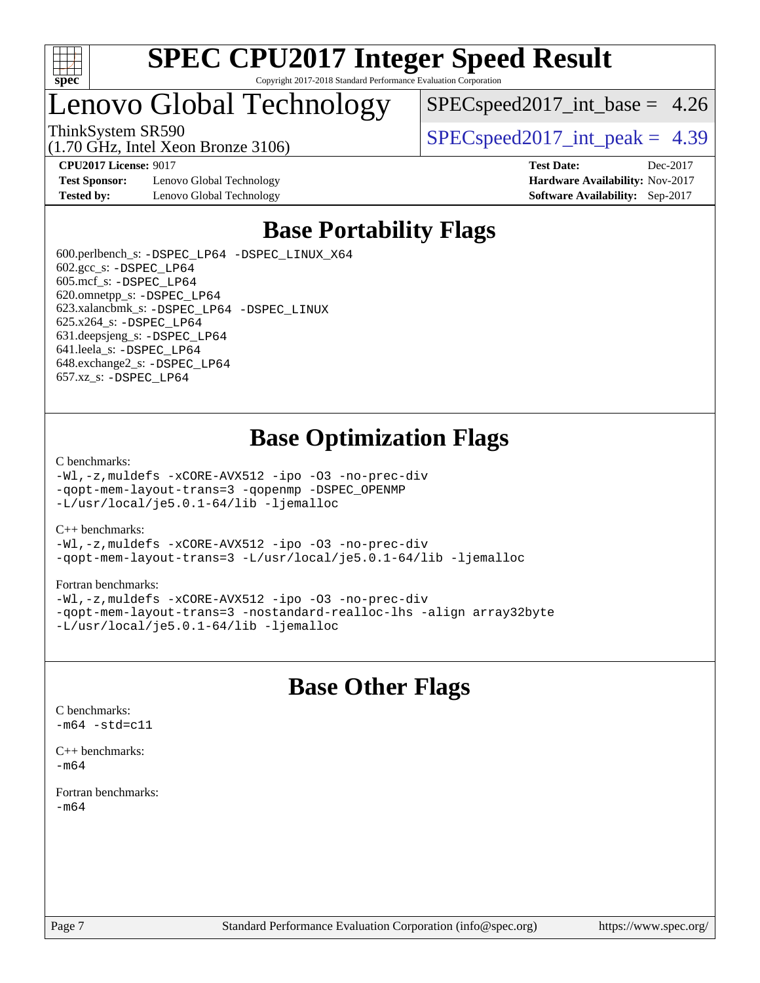

# Lenovo Global Technology

(1.70 GHz, Intel Xeon Bronze 3106)

 $SPECspeed2017\_int\_base = 4.26$ 

ThinkSystem SR590  $SPEC speed2017$  int peak = 4.39

**[Test Sponsor:](http://www.spec.org/auto/cpu2017/Docs/result-fields.html#TestSponsor)** Lenovo Global Technology **[Hardware Availability:](http://www.spec.org/auto/cpu2017/Docs/result-fields.html#HardwareAvailability)** Nov-2017 **[Tested by:](http://www.spec.org/auto/cpu2017/Docs/result-fields.html#Testedby)** Lenovo Global Technology **[Software Availability:](http://www.spec.org/auto/cpu2017/Docs/result-fields.html#SoftwareAvailability)** Sep-2017

**[CPU2017 License:](http://www.spec.org/auto/cpu2017/Docs/result-fields.html#CPU2017License)** 9017 **[Test Date:](http://www.spec.org/auto/cpu2017/Docs/result-fields.html#TestDate)** Dec-2017

# **[Base Portability Flags](http://www.spec.org/auto/cpu2017/Docs/result-fields.html#BasePortabilityFlags)**

 600.perlbench\_s: [-DSPEC\\_LP64](http://www.spec.org/cpu2017/results/res2018q1/cpu2017-20180108-02542.flags.html#b600.perlbench_s_basePORTABILITY_DSPEC_LP64) [-DSPEC\\_LINUX\\_X64](http://www.spec.org/cpu2017/results/res2018q1/cpu2017-20180108-02542.flags.html#b600.perlbench_s_baseCPORTABILITY_DSPEC_LINUX_X64) 602.gcc\_s: [-DSPEC\\_LP64](http://www.spec.org/cpu2017/results/res2018q1/cpu2017-20180108-02542.flags.html#suite_basePORTABILITY602_gcc_s_DSPEC_LP64) 605.mcf\_s: [-DSPEC\\_LP64](http://www.spec.org/cpu2017/results/res2018q1/cpu2017-20180108-02542.flags.html#suite_basePORTABILITY605_mcf_s_DSPEC_LP64) 620.omnetpp\_s: [-DSPEC\\_LP64](http://www.spec.org/cpu2017/results/res2018q1/cpu2017-20180108-02542.flags.html#suite_basePORTABILITY620_omnetpp_s_DSPEC_LP64) 623.xalancbmk\_s: [-DSPEC\\_LP64](http://www.spec.org/cpu2017/results/res2018q1/cpu2017-20180108-02542.flags.html#suite_basePORTABILITY623_xalancbmk_s_DSPEC_LP64) [-DSPEC\\_LINUX](http://www.spec.org/cpu2017/results/res2018q1/cpu2017-20180108-02542.flags.html#b623.xalancbmk_s_baseCXXPORTABILITY_DSPEC_LINUX) 625.x264\_s: [-DSPEC\\_LP64](http://www.spec.org/cpu2017/results/res2018q1/cpu2017-20180108-02542.flags.html#suite_basePORTABILITY625_x264_s_DSPEC_LP64) 631.deepsjeng\_s: [-DSPEC\\_LP64](http://www.spec.org/cpu2017/results/res2018q1/cpu2017-20180108-02542.flags.html#suite_basePORTABILITY631_deepsjeng_s_DSPEC_LP64) 641.leela\_s: [-DSPEC\\_LP64](http://www.spec.org/cpu2017/results/res2018q1/cpu2017-20180108-02542.flags.html#suite_basePORTABILITY641_leela_s_DSPEC_LP64) 648.exchange2\_s: [-DSPEC\\_LP64](http://www.spec.org/cpu2017/results/res2018q1/cpu2017-20180108-02542.flags.html#suite_basePORTABILITY648_exchange2_s_DSPEC_LP64) 657.xz\_s: [-DSPEC\\_LP64](http://www.spec.org/cpu2017/results/res2018q1/cpu2017-20180108-02542.flags.html#suite_basePORTABILITY657_xz_s_DSPEC_LP64)

## **[Base Optimization Flags](http://www.spec.org/auto/cpu2017/Docs/result-fields.html#BaseOptimizationFlags)**

#### [C benchmarks](http://www.spec.org/auto/cpu2017/Docs/result-fields.html#Cbenchmarks):

[-Wl,-z,muldefs](http://www.spec.org/cpu2017/results/res2018q1/cpu2017-20180108-02542.flags.html#user_CCbase_link_force_multiple1_b4cbdb97b34bdee9ceefcfe54f4c8ea74255f0b02a4b23e853cdb0e18eb4525ac79b5a88067c842dd0ee6996c24547a27a4b99331201badda8798ef8a743f577) [-xCORE-AVX512](http://www.spec.org/cpu2017/results/res2018q1/cpu2017-20180108-02542.flags.html#user_CCbase_f-xCORE-AVX512) [-ipo](http://www.spec.org/cpu2017/results/res2018q1/cpu2017-20180108-02542.flags.html#user_CCbase_f-ipo) [-O3](http://www.spec.org/cpu2017/results/res2018q1/cpu2017-20180108-02542.flags.html#user_CCbase_f-O3) [-no-prec-div](http://www.spec.org/cpu2017/results/res2018q1/cpu2017-20180108-02542.flags.html#user_CCbase_f-no-prec-div) [-qopt-mem-layout-trans=3](http://www.spec.org/cpu2017/results/res2018q1/cpu2017-20180108-02542.flags.html#user_CCbase_f-qopt-mem-layout-trans_de80db37974c74b1f0e20d883f0b675c88c3b01e9d123adea9b28688d64333345fb62bc4a798493513fdb68f60282f9a726aa07f478b2f7113531aecce732043) [-qopenmp](http://www.spec.org/cpu2017/results/res2018q1/cpu2017-20180108-02542.flags.html#user_CCbase_qopenmp_16be0c44f24f464004c6784a7acb94aca937f053568ce72f94b139a11c7c168634a55f6653758ddd83bcf7b8463e8028bb0b48b77bcddc6b78d5d95bb1df2967) [-DSPEC\\_OPENMP](http://www.spec.org/cpu2017/results/res2018q1/cpu2017-20180108-02542.flags.html#suite_CCbase_DSPEC_OPENMP) [-L/usr/local/je5.0.1-64/lib](http://www.spec.org/cpu2017/results/res2018q1/cpu2017-20180108-02542.flags.html#user_CCbase_jemalloc_link_path64_4b10a636b7bce113509b17f3bd0d6226c5fb2346b9178c2d0232c14f04ab830f976640479e5c33dc2bcbbdad86ecfb6634cbbd4418746f06f368b512fced5394) [-ljemalloc](http://www.spec.org/cpu2017/results/res2018q1/cpu2017-20180108-02542.flags.html#user_CCbase_jemalloc_link_lib_d1249b907c500fa1c0672f44f562e3d0f79738ae9e3c4a9c376d49f265a04b9c99b167ecedbf6711b3085be911c67ff61f150a17b3472be731631ba4d0471706)

#### [C++ benchmarks:](http://www.spec.org/auto/cpu2017/Docs/result-fields.html#CXXbenchmarks)

[-Wl,-z,muldefs](http://www.spec.org/cpu2017/results/res2018q1/cpu2017-20180108-02542.flags.html#user_CXXbase_link_force_multiple1_b4cbdb97b34bdee9ceefcfe54f4c8ea74255f0b02a4b23e853cdb0e18eb4525ac79b5a88067c842dd0ee6996c24547a27a4b99331201badda8798ef8a743f577) [-xCORE-AVX512](http://www.spec.org/cpu2017/results/res2018q1/cpu2017-20180108-02542.flags.html#user_CXXbase_f-xCORE-AVX512) [-ipo](http://www.spec.org/cpu2017/results/res2018q1/cpu2017-20180108-02542.flags.html#user_CXXbase_f-ipo) [-O3](http://www.spec.org/cpu2017/results/res2018q1/cpu2017-20180108-02542.flags.html#user_CXXbase_f-O3) [-no-prec-div](http://www.spec.org/cpu2017/results/res2018q1/cpu2017-20180108-02542.flags.html#user_CXXbase_f-no-prec-div) [-qopt-mem-layout-trans=3](http://www.spec.org/cpu2017/results/res2018q1/cpu2017-20180108-02542.flags.html#user_CXXbase_f-qopt-mem-layout-trans_de80db37974c74b1f0e20d883f0b675c88c3b01e9d123adea9b28688d64333345fb62bc4a798493513fdb68f60282f9a726aa07f478b2f7113531aecce732043) [-L/usr/local/je5.0.1-64/lib](http://www.spec.org/cpu2017/results/res2018q1/cpu2017-20180108-02542.flags.html#user_CXXbase_jemalloc_link_path64_4b10a636b7bce113509b17f3bd0d6226c5fb2346b9178c2d0232c14f04ab830f976640479e5c33dc2bcbbdad86ecfb6634cbbd4418746f06f368b512fced5394) [-ljemalloc](http://www.spec.org/cpu2017/results/res2018q1/cpu2017-20180108-02542.flags.html#user_CXXbase_jemalloc_link_lib_d1249b907c500fa1c0672f44f562e3d0f79738ae9e3c4a9c376d49f265a04b9c99b167ecedbf6711b3085be911c67ff61f150a17b3472be731631ba4d0471706)

#### [Fortran benchmarks](http://www.spec.org/auto/cpu2017/Docs/result-fields.html#Fortranbenchmarks):

[-Wl,-z,muldefs](http://www.spec.org/cpu2017/results/res2018q1/cpu2017-20180108-02542.flags.html#user_FCbase_link_force_multiple1_b4cbdb97b34bdee9ceefcfe54f4c8ea74255f0b02a4b23e853cdb0e18eb4525ac79b5a88067c842dd0ee6996c24547a27a4b99331201badda8798ef8a743f577) [-xCORE-AVX512](http://www.spec.org/cpu2017/results/res2018q1/cpu2017-20180108-02542.flags.html#user_FCbase_f-xCORE-AVX512) [-ipo](http://www.spec.org/cpu2017/results/res2018q1/cpu2017-20180108-02542.flags.html#user_FCbase_f-ipo) [-O3](http://www.spec.org/cpu2017/results/res2018q1/cpu2017-20180108-02542.flags.html#user_FCbase_f-O3) [-no-prec-div](http://www.spec.org/cpu2017/results/res2018q1/cpu2017-20180108-02542.flags.html#user_FCbase_f-no-prec-div) [-qopt-mem-layout-trans=3](http://www.spec.org/cpu2017/results/res2018q1/cpu2017-20180108-02542.flags.html#user_FCbase_f-qopt-mem-layout-trans_de80db37974c74b1f0e20d883f0b675c88c3b01e9d123adea9b28688d64333345fb62bc4a798493513fdb68f60282f9a726aa07f478b2f7113531aecce732043) [-nostandard-realloc-lhs](http://www.spec.org/cpu2017/results/res2018q1/cpu2017-20180108-02542.flags.html#user_FCbase_f_2003_std_realloc_82b4557e90729c0f113870c07e44d33d6f5a304b4f63d4c15d2d0f1fab99f5daaed73bdb9275d9ae411527f28b936061aa8b9c8f2d63842963b95c9dd6426b8a) [-align array32byte](http://www.spec.org/cpu2017/results/res2018q1/cpu2017-20180108-02542.flags.html#user_FCbase_align_array32byte_b982fe038af199962ba9a80c053b8342c548c85b40b8e86eb3cc33dee0d7986a4af373ac2d51c3f7cf710a18d62fdce2948f201cd044323541f22fc0fffc51b6) [-L/usr/local/je5.0.1-64/lib](http://www.spec.org/cpu2017/results/res2018q1/cpu2017-20180108-02542.flags.html#user_FCbase_jemalloc_link_path64_4b10a636b7bce113509b17f3bd0d6226c5fb2346b9178c2d0232c14f04ab830f976640479e5c33dc2bcbbdad86ecfb6634cbbd4418746f06f368b512fced5394) [-ljemalloc](http://www.spec.org/cpu2017/results/res2018q1/cpu2017-20180108-02542.flags.html#user_FCbase_jemalloc_link_lib_d1249b907c500fa1c0672f44f562e3d0f79738ae9e3c4a9c376d49f265a04b9c99b167ecedbf6711b3085be911c67ff61f150a17b3472be731631ba4d0471706)

### **[Base Other Flags](http://www.spec.org/auto/cpu2017/Docs/result-fields.html#BaseOtherFlags)**

[C benchmarks](http://www.spec.org/auto/cpu2017/Docs/result-fields.html#Cbenchmarks):  $-m64 - std= c11$  $-m64 - std= c11$ 

[C++ benchmarks:](http://www.spec.org/auto/cpu2017/Docs/result-fields.html#CXXbenchmarks) [-m64](http://www.spec.org/cpu2017/results/res2018q1/cpu2017-20180108-02542.flags.html#user_CXXbase_intel_intel64_18.0_af43caccfc8ded86e7699f2159af6efc7655f51387b94da716254467f3c01020a5059329e2569e4053f409e7c9202a7efc638f7a6d1ffb3f52dea4a3e31d82ab)

[Fortran benchmarks](http://www.spec.org/auto/cpu2017/Docs/result-fields.html#Fortranbenchmarks): [-m64](http://www.spec.org/cpu2017/results/res2018q1/cpu2017-20180108-02542.flags.html#user_FCbase_intel_intel64_18.0_af43caccfc8ded86e7699f2159af6efc7655f51387b94da716254467f3c01020a5059329e2569e4053f409e7c9202a7efc638f7a6d1ffb3f52dea4a3e31d82ab)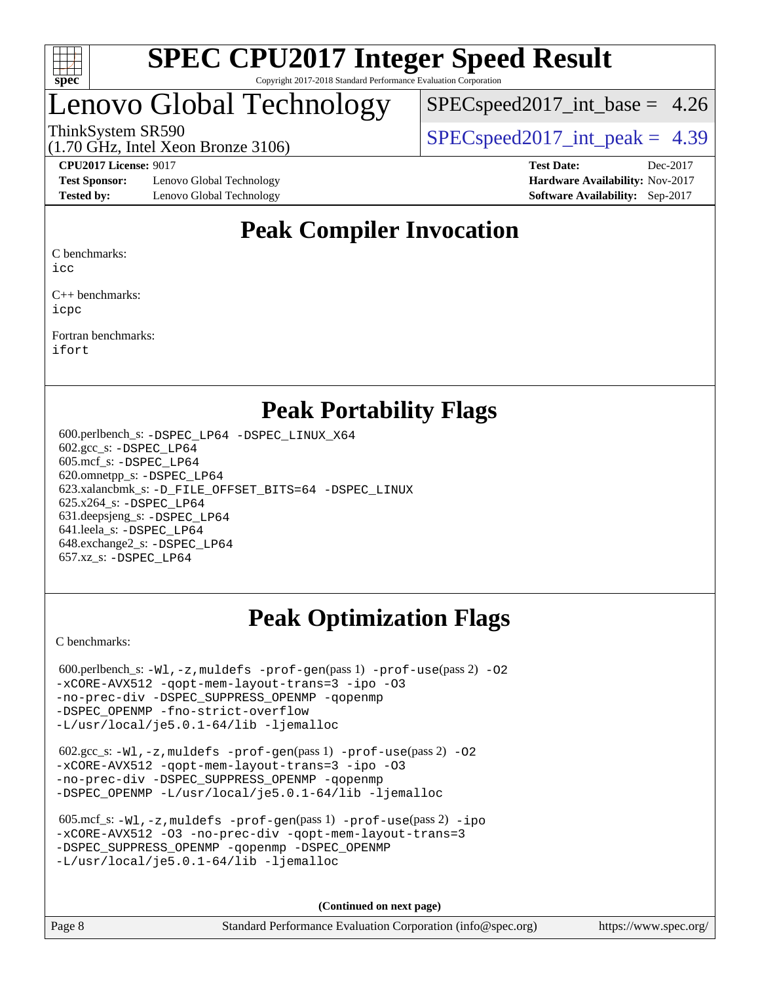

# Lenovo Global Technology

 $SPECspeed2017\_int\_base = 4.26$ 

(1.70 GHz, Intel Xeon Bronze 3106)

ThinkSystem SR590  $SPEC speed2017$  int peak = 4.39

**[Test Sponsor:](http://www.spec.org/auto/cpu2017/Docs/result-fields.html#TestSponsor)** Lenovo Global Technology **[Hardware Availability:](http://www.spec.org/auto/cpu2017/Docs/result-fields.html#HardwareAvailability)** Nov-2017 **[Tested by:](http://www.spec.org/auto/cpu2017/Docs/result-fields.html#Testedby)** Lenovo Global Technology **[Software Availability:](http://www.spec.org/auto/cpu2017/Docs/result-fields.html#SoftwareAvailability)** Sep-2017

**[CPU2017 License:](http://www.spec.org/auto/cpu2017/Docs/result-fields.html#CPU2017License)** 9017 **[Test Date:](http://www.spec.org/auto/cpu2017/Docs/result-fields.html#TestDate)** Dec-2017

# **[Peak Compiler Invocation](http://www.spec.org/auto/cpu2017/Docs/result-fields.html#PeakCompilerInvocation)**

[C benchmarks](http://www.spec.org/auto/cpu2017/Docs/result-fields.html#Cbenchmarks):

[icc](http://www.spec.org/cpu2017/results/res2018q1/cpu2017-20180108-02542.flags.html#user_CCpeak_intel_icc_18.0_66fc1ee009f7361af1fbd72ca7dcefbb700085f36577c54f309893dd4ec40d12360134090235512931783d35fd58c0460139e722d5067c5574d8eaf2b3e37e92)

[C++ benchmarks:](http://www.spec.org/auto/cpu2017/Docs/result-fields.html#CXXbenchmarks) [icpc](http://www.spec.org/cpu2017/results/res2018q1/cpu2017-20180108-02542.flags.html#user_CXXpeak_intel_icpc_18.0_c510b6838c7f56d33e37e94d029a35b4a7bccf4766a728ee175e80a419847e808290a9b78be685c44ab727ea267ec2f070ec5dc83b407c0218cded6866a35d07)

[Fortran benchmarks](http://www.spec.org/auto/cpu2017/Docs/result-fields.html#Fortranbenchmarks): [ifort](http://www.spec.org/cpu2017/results/res2018q1/cpu2017-20180108-02542.flags.html#user_FCpeak_intel_ifort_18.0_8111460550e3ca792625aed983ce982f94888b8b503583aa7ba2b8303487b4d8a21a13e7191a45c5fd58ff318f48f9492884d4413fa793fd88dd292cad7027ca)

### **[Peak Portability Flags](http://www.spec.org/auto/cpu2017/Docs/result-fields.html#PeakPortabilityFlags)**

 600.perlbench\_s: [-DSPEC\\_LP64](http://www.spec.org/cpu2017/results/res2018q1/cpu2017-20180108-02542.flags.html#b600.perlbench_s_peakPORTABILITY_DSPEC_LP64) [-DSPEC\\_LINUX\\_X64](http://www.spec.org/cpu2017/results/res2018q1/cpu2017-20180108-02542.flags.html#b600.perlbench_s_peakCPORTABILITY_DSPEC_LINUX_X64) 602.gcc\_s: [-DSPEC\\_LP64](http://www.spec.org/cpu2017/results/res2018q1/cpu2017-20180108-02542.flags.html#suite_peakPORTABILITY602_gcc_s_DSPEC_LP64) 605.mcf\_s: [-DSPEC\\_LP64](http://www.spec.org/cpu2017/results/res2018q1/cpu2017-20180108-02542.flags.html#suite_peakPORTABILITY605_mcf_s_DSPEC_LP64) 620.omnetpp\_s: [-DSPEC\\_LP64](http://www.spec.org/cpu2017/results/res2018q1/cpu2017-20180108-02542.flags.html#suite_peakPORTABILITY620_omnetpp_s_DSPEC_LP64) 623.xalancbmk\_s: [-D\\_FILE\\_OFFSET\\_BITS=64](http://www.spec.org/cpu2017/results/res2018q1/cpu2017-20180108-02542.flags.html#user_peakPORTABILITY623_xalancbmk_s_file_offset_bits_64_5ae949a99b284ddf4e95728d47cb0843d81b2eb0e18bdfe74bbf0f61d0b064f4bda2f10ea5eb90e1dcab0e84dbc592acfc5018bc955c18609f94ddb8d550002c) [-DSPEC\\_LINUX](http://www.spec.org/cpu2017/results/res2018q1/cpu2017-20180108-02542.flags.html#b623.xalancbmk_s_peakCXXPORTABILITY_DSPEC_LINUX) 625.x264\_s: [-DSPEC\\_LP64](http://www.spec.org/cpu2017/results/res2018q1/cpu2017-20180108-02542.flags.html#suite_peakPORTABILITY625_x264_s_DSPEC_LP64) 631.deepsjeng\_s: [-DSPEC\\_LP64](http://www.spec.org/cpu2017/results/res2018q1/cpu2017-20180108-02542.flags.html#suite_peakPORTABILITY631_deepsjeng_s_DSPEC_LP64) 641.leela\_s: [-DSPEC\\_LP64](http://www.spec.org/cpu2017/results/res2018q1/cpu2017-20180108-02542.flags.html#suite_peakPORTABILITY641_leela_s_DSPEC_LP64) 648.exchange2\_s: [-DSPEC\\_LP64](http://www.spec.org/cpu2017/results/res2018q1/cpu2017-20180108-02542.flags.html#suite_peakPORTABILITY648_exchange2_s_DSPEC_LP64) 657.xz\_s: [-DSPEC\\_LP64](http://www.spec.org/cpu2017/results/res2018q1/cpu2017-20180108-02542.flags.html#suite_peakPORTABILITY657_xz_s_DSPEC_LP64)

# **[Peak Optimization Flags](http://www.spec.org/auto/cpu2017/Docs/result-fields.html#PeakOptimizationFlags)**

[C benchmarks](http://www.spec.org/auto/cpu2017/Docs/result-fields.html#Cbenchmarks):

600.perlbench\_s:  $-W1$ , -z, muldefs [-prof-gen](http://www.spec.org/cpu2017/results/res2018q1/cpu2017-20180108-02542.flags.html#user_peakPASS1_CFLAGSPASS1_LDFLAGS600_perlbench_s_prof_gen_5aa4926d6013ddb2a31985c654b3eb18169fc0c6952a63635c234f711e6e63dd76e94ad52365559451ec499a2cdb89e4dc58ba4c67ef54ca681ffbe1461d6b36)(pass 1) [-prof-use](http://www.spec.org/cpu2017/results/res2018q1/cpu2017-20180108-02542.flags.html#user_peakPASS2_CFLAGSPASS2_LDFLAGS600_perlbench_s_prof_use_1a21ceae95f36a2b53c25747139a6c16ca95bd9def2a207b4f0849963b97e94f5260e30a0c64f4bb623698870e679ca08317ef8150905d41bd88c6f78df73f19)(pass 2) -02 [-xCORE-AVX512](http://www.spec.org/cpu2017/results/res2018q1/cpu2017-20180108-02542.flags.html#user_peakPASS2_COPTIMIZE600_perlbench_s_f-xCORE-AVX512) [-qopt-mem-layout-trans=3](http://www.spec.org/cpu2017/results/res2018q1/cpu2017-20180108-02542.flags.html#user_peakPASS1_COPTIMIZEPASS2_COPTIMIZE600_perlbench_s_f-qopt-mem-layout-trans_de80db37974c74b1f0e20d883f0b675c88c3b01e9d123adea9b28688d64333345fb62bc4a798493513fdb68f60282f9a726aa07f478b2f7113531aecce732043) [-ipo](http://www.spec.org/cpu2017/results/res2018q1/cpu2017-20180108-02542.flags.html#user_peakPASS2_COPTIMIZE600_perlbench_s_f-ipo) [-O3](http://www.spec.org/cpu2017/results/res2018q1/cpu2017-20180108-02542.flags.html#user_peakPASS2_COPTIMIZE600_perlbench_s_f-O3) [-no-prec-div](http://www.spec.org/cpu2017/results/res2018q1/cpu2017-20180108-02542.flags.html#user_peakPASS2_COPTIMIZE600_perlbench_s_f-no-prec-div) [-DSPEC\\_SUPPRESS\\_OPENMP](http://www.spec.org/cpu2017/results/res2018q1/cpu2017-20180108-02542.flags.html#suite_peakPASS1_COPTIMIZE600_perlbench_s_DSPEC_SUPPRESS_OPENMP) [-qopenmp](http://www.spec.org/cpu2017/results/res2018q1/cpu2017-20180108-02542.flags.html#user_peakPASS2_COPTIMIZE600_perlbench_s_qopenmp_16be0c44f24f464004c6784a7acb94aca937f053568ce72f94b139a11c7c168634a55f6653758ddd83bcf7b8463e8028bb0b48b77bcddc6b78d5d95bb1df2967) [-DSPEC\\_OPENMP](http://www.spec.org/cpu2017/results/res2018q1/cpu2017-20180108-02542.flags.html#suite_peakPASS2_COPTIMIZE600_perlbench_s_DSPEC_OPENMP) [-fno-strict-overflow](http://www.spec.org/cpu2017/results/res2018q1/cpu2017-20180108-02542.flags.html#user_peakEXTRA_OPTIMIZE600_perlbench_s_f-fno-strict-overflow) [-L/usr/local/je5.0.1-64/lib](http://www.spec.org/cpu2017/results/res2018q1/cpu2017-20180108-02542.flags.html#user_peakEXTRA_LIBS600_perlbench_s_jemalloc_link_path64_4b10a636b7bce113509b17f3bd0d6226c5fb2346b9178c2d0232c14f04ab830f976640479e5c33dc2bcbbdad86ecfb6634cbbd4418746f06f368b512fced5394) [-ljemalloc](http://www.spec.org/cpu2017/results/res2018q1/cpu2017-20180108-02542.flags.html#user_peakEXTRA_LIBS600_perlbench_s_jemalloc_link_lib_d1249b907c500fa1c0672f44f562e3d0f79738ae9e3c4a9c376d49f265a04b9c99b167ecedbf6711b3085be911c67ff61f150a17b3472be731631ba4d0471706)

 602.gcc\_s: [-Wl,-z,muldefs](http://www.spec.org/cpu2017/results/res2018q1/cpu2017-20180108-02542.flags.html#user_peakEXTRA_LDFLAGS602_gcc_s_link_force_multiple1_b4cbdb97b34bdee9ceefcfe54f4c8ea74255f0b02a4b23e853cdb0e18eb4525ac79b5a88067c842dd0ee6996c24547a27a4b99331201badda8798ef8a743f577) [-prof-gen](http://www.spec.org/cpu2017/results/res2018q1/cpu2017-20180108-02542.flags.html#user_peakPASS1_CFLAGSPASS1_LDFLAGS602_gcc_s_prof_gen_5aa4926d6013ddb2a31985c654b3eb18169fc0c6952a63635c234f711e6e63dd76e94ad52365559451ec499a2cdb89e4dc58ba4c67ef54ca681ffbe1461d6b36)(pass 1) [-prof-use](http://www.spec.org/cpu2017/results/res2018q1/cpu2017-20180108-02542.flags.html#user_peakPASS2_CFLAGSPASS2_LDFLAGS602_gcc_s_prof_use_1a21ceae95f36a2b53c25747139a6c16ca95bd9def2a207b4f0849963b97e94f5260e30a0c64f4bb623698870e679ca08317ef8150905d41bd88c6f78df73f19)(pass 2) [-O2](http://www.spec.org/cpu2017/results/res2018q1/cpu2017-20180108-02542.flags.html#user_peakPASS1_COPTIMIZE602_gcc_s_f-O2) [-xCORE-AVX512](http://www.spec.org/cpu2017/results/res2018q1/cpu2017-20180108-02542.flags.html#user_peakPASS2_COPTIMIZE602_gcc_s_f-xCORE-AVX512) [-qopt-mem-layout-trans=3](http://www.spec.org/cpu2017/results/res2018q1/cpu2017-20180108-02542.flags.html#user_peakPASS1_COPTIMIZEPASS2_COPTIMIZE602_gcc_s_f-qopt-mem-layout-trans_de80db37974c74b1f0e20d883f0b675c88c3b01e9d123adea9b28688d64333345fb62bc4a798493513fdb68f60282f9a726aa07f478b2f7113531aecce732043) [-ipo](http://www.spec.org/cpu2017/results/res2018q1/cpu2017-20180108-02542.flags.html#user_peakPASS2_COPTIMIZE602_gcc_s_f-ipo) [-O3](http://www.spec.org/cpu2017/results/res2018q1/cpu2017-20180108-02542.flags.html#user_peakPASS2_COPTIMIZE602_gcc_s_f-O3) [-no-prec-div](http://www.spec.org/cpu2017/results/res2018q1/cpu2017-20180108-02542.flags.html#user_peakPASS2_COPTIMIZE602_gcc_s_f-no-prec-div) [-DSPEC\\_SUPPRESS\\_OPENMP](http://www.spec.org/cpu2017/results/res2018q1/cpu2017-20180108-02542.flags.html#suite_peakPASS1_COPTIMIZE602_gcc_s_DSPEC_SUPPRESS_OPENMP) [-qopenmp](http://www.spec.org/cpu2017/results/res2018q1/cpu2017-20180108-02542.flags.html#user_peakPASS2_COPTIMIZE602_gcc_s_qopenmp_16be0c44f24f464004c6784a7acb94aca937f053568ce72f94b139a11c7c168634a55f6653758ddd83bcf7b8463e8028bb0b48b77bcddc6b78d5d95bb1df2967) [-DSPEC\\_OPENMP](http://www.spec.org/cpu2017/results/res2018q1/cpu2017-20180108-02542.flags.html#suite_peakPASS2_COPTIMIZE602_gcc_s_DSPEC_OPENMP) [-L/usr/local/je5.0.1-64/lib](http://www.spec.org/cpu2017/results/res2018q1/cpu2017-20180108-02542.flags.html#user_peakEXTRA_LIBS602_gcc_s_jemalloc_link_path64_4b10a636b7bce113509b17f3bd0d6226c5fb2346b9178c2d0232c14f04ab830f976640479e5c33dc2bcbbdad86ecfb6634cbbd4418746f06f368b512fced5394) [-ljemalloc](http://www.spec.org/cpu2017/results/res2018q1/cpu2017-20180108-02542.flags.html#user_peakEXTRA_LIBS602_gcc_s_jemalloc_link_lib_d1249b907c500fa1c0672f44f562e3d0f79738ae9e3c4a9c376d49f265a04b9c99b167ecedbf6711b3085be911c67ff61f150a17b3472be731631ba4d0471706)

```
 605.mcf_s: -Wl,-z,muldefs -prof-gen(pass 1) -prof-use(pass 2) -ipo
-xCORE-AVX512 -O3 -no-prec-div -qopt-mem-layout-trans=3
-qopenmp -DSPEC OPENMP
-L/usr/local/je5.0.1-64/lib -ljemalloc
```
**(Continued on next page)**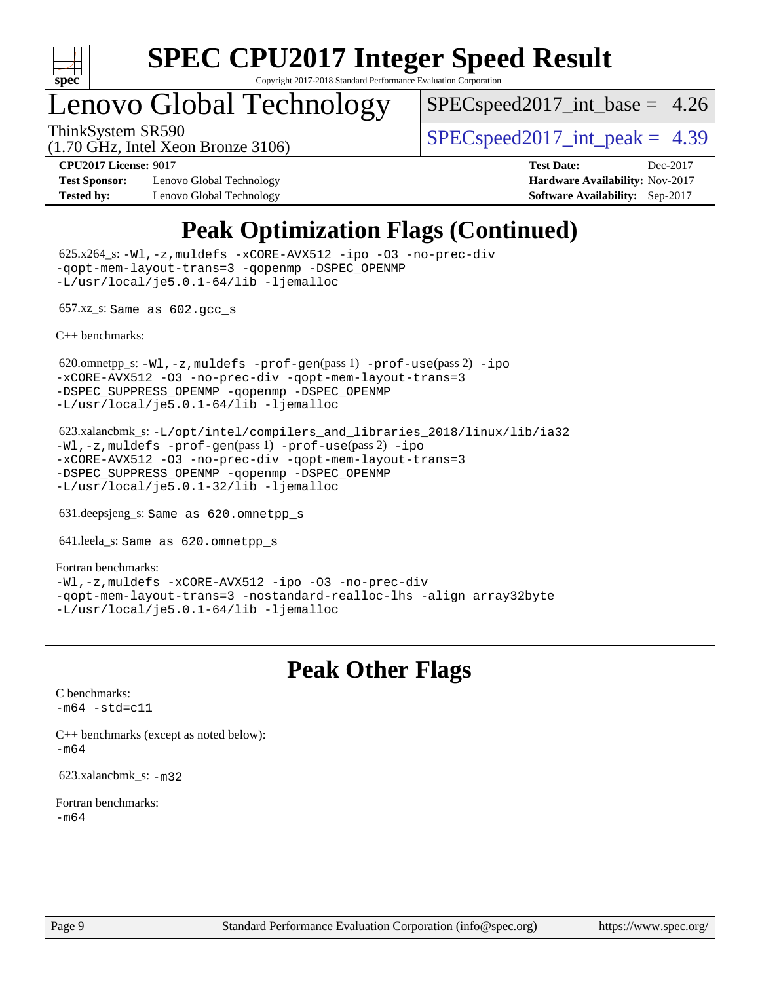

# Lenovo Global Technology

 $SPECspeed2017\_int\_base = 4.26$ 

(1.70 GHz, Intel Xeon Bronze 3106)

ThinkSystem SR590  $SPEC speed2017$  int peak = 4.39

**[Test Sponsor:](http://www.spec.org/auto/cpu2017/Docs/result-fields.html#TestSponsor)** Lenovo Global Technology **[Hardware Availability:](http://www.spec.org/auto/cpu2017/Docs/result-fields.html#HardwareAvailability)** Nov-2017 **[Tested by:](http://www.spec.org/auto/cpu2017/Docs/result-fields.html#Testedby)** Lenovo Global Technology **[Software Availability:](http://www.spec.org/auto/cpu2017/Docs/result-fields.html#SoftwareAvailability)** Sep-2017

**[CPU2017 License:](http://www.spec.org/auto/cpu2017/Docs/result-fields.html#CPU2017License)** 9017 **[Test Date:](http://www.spec.org/auto/cpu2017/Docs/result-fields.html#TestDate)** Dec-2017

# **[Peak Optimization Flags \(Continued\)](http://www.spec.org/auto/cpu2017/Docs/result-fields.html#PeakOptimizationFlags)**

 625.x264\_s: [-Wl,-z,muldefs](http://www.spec.org/cpu2017/results/res2018q1/cpu2017-20180108-02542.flags.html#user_peakEXTRA_LDFLAGS625_x264_s_link_force_multiple1_b4cbdb97b34bdee9ceefcfe54f4c8ea74255f0b02a4b23e853cdb0e18eb4525ac79b5a88067c842dd0ee6996c24547a27a4b99331201badda8798ef8a743f577) [-xCORE-AVX512](http://www.spec.org/cpu2017/results/res2018q1/cpu2017-20180108-02542.flags.html#user_peakCOPTIMIZE625_x264_s_f-xCORE-AVX512) [-ipo](http://www.spec.org/cpu2017/results/res2018q1/cpu2017-20180108-02542.flags.html#user_peakCOPTIMIZE625_x264_s_f-ipo) [-O3](http://www.spec.org/cpu2017/results/res2018q1/cpu2017-20180108-02542.flags.html#user_peakCOPTIMIZE625_x264_s_f-O3) [-no-prec-div](http://www.spec.org/cpu2017/results/res2018q1/cpu2017-20180108-02542.flags.html#user_peakCOPTIMIZE625_x264_s_f-no-prec-div) [-qopt-mem-layout-trans=3](http://www.spec.org/cpu2017/results/res2018q1/cpu2017-20180108-02542.flags.html#user_peakCOPTIMIZE625_x264_s_f-qopt-mem-layout-trans_de80db37974c74b1f0e20d883f0b675c88c3b01e9d123adea9b28688d64333345fb62bc4a798493513fdb68f60282f9a726aa07f478b2f7113531aecce732043) [-qopenmp](http://www.spec.org/cpu2017/results/res2018q1/cpu2017-20180108-02542.flags.html#user_peakCOPTIMIZE625_x264_s_qopenmp_16be0c44f24f464004c6784a7acb94aca937f053568ce72f94b139a11c7c168634a55f6653758ddd83bcf7b8463e8028bb0b48b77bcddc6b78d5d95bb1df2967) [-DSPEC\\_OPENMP](http://www.spec.org/cpu2017/results/res2018q1/cpu2017-20180108-02542.flags.html#suite_peakCOPTIMIZE625_x264_s_DSPEC_OPENMP) [-L/usr/local/je5.0.1-64/lib](http://www.spec.org/cpu2017/results/res2018q1/cpu2017-20180108-02542.flags.html#user_peakEXTRA_LIBS625_x264_s_jemalloc_link_path64_4b10a636b7bce113509b17f3bd0d6226c5fb2346b9178c2d0232c14f04ab830f976640479e5c33dc2bcbbdad86ecfb6634cbbd4418746f06f368b512fced5394) [-ljemalloc](http://www.spec.org/cpu2017/results/res2018q1/cpu2017-20180108-02542.flags.html#user_peakEXTRA_LIBS625_x264_s_jemalloc_link_lib_d1249b907c500fa1c0672f44f562e3d0f79738ae9e3c4a9c376d49f265a04b9c99b167ecedbf6711b3085be911c67ff61f150a17b3472be731631ba4d0471706)

657.xz\_s: Same as 602.gcc\_s

[C++ benchmarks:](http://www.spec.org/auto/cpu2017/Docs/result-fields.html#CXXbenchmarks)

620.omnetpp\_s: $-W1$ ,-z,muldefs -prof-qen(pass 1) [-prof-use](http://www.spec.org/cpu2017/results/res2018q1/cpu2017-20180108-02542.flags.html#user_peakPASS2_CXXFLAGSPASS2_LDFLAGS620_omnetpp_s_prof_use_1a21ceae95f36a2b53c25747139a6c16ca95bd9def2a207b4f0849963b97e94f5260e30a0c64f4bb623698870e679ca08317ef8150905d41bd88c6f78df73f19)(pass 2) [-ipo](http://www.spec.org/cpu2017/results/res2018q1/cpu2017-20180108-02542.flags.html#user_peakPASS1_CXXOPTIMIZEPASS2_CXXOPTIMIZE620_omnetpp_s_f-ipo) [-xCORE-AVX512](http://www.spec.org/cpu2017/results/res2018q1/cpu2017-20180108-02542.flags.html#user_peakPASS2_CXXOPTIMIZE620_omnetpp_s_f-xCORE-AVX512) [-O3](http://www.spec.org/cpu2017/results/res2018q1/cpu2017-20180108-02542.flags.html#user_peakPASS1_CXXOPTIMIZEPASS2_CXXOPTIMIZE620_omnetpp_s_f-O3) [-no-prec-div](http://www.spec.org/cpu2017/results/res2018q1/cpu2017-20180108-02542.flags.html#user_peakPASS1_CXXOPTIMIZEPASS2_CXXOPTIMIZE620_omnetpp_s_f-no-prec-div) [-qopt-mem-layout-trans=3](http://www.spec.org/cpu2017/results/res2018q1/cpu2017-20180108-02542.flags.html#user_peakPASS1_CXXOPTIMIZEPASS2_CXXOPTIMIZE620_omnetpp_s_f-qopt-mem-layout-trans_de80db37974c74b1f0e20d883f0b675c88c3b01e9d123adea9b28688d64333345fb62bc4a798493513fdb68f60282f9a726aa07f478b2f7113531aecce732043) [-DSPEC\\_SUPPRESS\\_OPENMP](http://www.spec.org/cpu2017/results/res2018q1/cpu2017-20180108-02542.flags.html#suite_peakPASS1_CXXOPTIMIZE620_omnetpp_s_DSPEC_SUPPRESS_OPENMP) [-qopenmp](http://www.spec.org/cpu2017/results/res2018q1/cpu2017-20180108-02542.flags.html#user_peakPASS2_CXXOPTIMIZE620_omnetpp_s_qopenmp_16be0c44f24f464004c6784a7acb94aca937f053568ce72f94b139a11c7c168634a55f6653758ddd83bcf7b8463e8028bb0b48b77bcddc6b78d5d95bb1df2967) [-DSPEC\\_OPENMP](http://www.spec.org/cpu2017/results/res2018q1/cpu2017-20180108-02542.flags.html#suite_peakPASS2_CXXOPTIMIZE620_omnetpp_s_DSPEC_OPENMP) [-L/usr/local/je5.0.1-64/lib](http://www.spec.org/cpu2017/results/res2018q1/cpu2017-20180108-02542.flags.html#user_peakEXTRA_LIBS620_omnetpp_s_jemalloc_link_path64_4b10a636b7bce113509b17f3bd0d6226c5fb2346b9178c2d0232c14f04ab830f976640479e5c33dc2bcbbdad86ecfb6634cbbd4418746f06f368b512fced5394) [-ljemalloc](http://www.spec.org/cpu2017/results/res2018q1/cpu2017-20180108-02542.flags.html#user_peakEXTRA_LIBS620_omnetpp_s_jemalloc_link_lib_d1249b907c500fa1c0672f44f562e3d0f79738ae9e3c4a9c376d49f265a04b9c99b167ecedbf6711b3085be911c67ff61f150a17b3472be731631ba4d0471706)

 623.xalancbmk\_s: [-L/opt/intel/compilers\\_and\\_libraries\\_2018/linux/lib/ia32](http://www.spec.org/cpu2017/results/res2018q1/cpu2017-20180108-02542.flags.html#user_peakCXXLD623_xalancbmk_s_Enable-32bit-runtime_af243bdb1d79e4c7a4f720bf8275e627de2ecd461de63307bc14cef0633fde3cd7bb2facb32dcc8be9566045fb55d40ce2b72b725f73827aa7833441b71b9343) [-Wl,-z,muldefs](http://www.spec.org/cpu2017/results/res2018q1/cpu2017-20180108-02542.flags.html#user_peakEXTRA_LDFLAGS623_xalancbmk_s_link_force_multiple1_b4cbdb97b34bdee9ceefcfe54f4c8ea74255f0b02a4b23e853cdb0e18eb4525ac79b5a88067c842dd0ee6996c24547a27a4b99331201badda8798ef8a743f577) [-prof-gen](http://www.spec.org/cpu2017/results/res2018q1/cpu2017-20180108-02542.flags.html#user_peakPASS1_CXXFLAGSPASS1_LDFLAGS623_xalancbmk_s_prof_gen_5aa4926d6013ddb2a31985c654b3eb18169fc0c6952a63635c234f711e6e63dd76e94ad52365559451ec499a2cdb89e4dc58ba4c67ef54ca681ffbe1461d6b36)(pass 1) [-prof-use](http://www.spec.org/cpu2017/results/res2018q1/cpu2017-20180108-02542.flags.html#user_peakPASS2_CXXFLAGSPASS2_LDFLAGS623_xalancbmk_s_prof_use_1a21ceae95f36a2b53c25747139a6c16ca95bd9def2a207b4f0849963b97e94f5260e30a0c64f4bb623698870e679ca08317ef8150905d41bd88c6f78df73f19)(pass 2) [-ipo](http://www.spec.org/cpu2017/results/res2018q1/cpu2017-20180108-02542.flags.html#user_peakPASS1_CXXOPTIMIZEPASS2_CXXOPTIMIZE623_xalancbmk_s_f-ipo) [-xCORE-AVX512](http://www.spec.org/cpu2017/results/res2018q1/cpu2017-20180108-02542.flags.html#user_peakPASS2_CXXOPTIMIZE623_xalancbmk_s_f-xCORE-AVX512) [-O3](http://www.spec.org/cpu2017/results/res2018q1/cpu2017-20180108-02542.flags.html#user_peakPASS1_CXXOPTIMIZEPASS2_CXXOPTIMIZE623_xalancbmk_s_f-O3) [-no-prec-div](http://www.spec.org/cpu2017/results/res2018q1/cpu2017-20180108-02542.flags.html#user_peakPASS1_CXXOPTIMIZEPASS2_CXXOPTIMIZE623_xalancbmk_s_f-no-prec-div) [-qopt-mem-layout-trans=3](http://www.spec.org/cpu2017/results/res2018q1/cpu2017-20180108-02542.flags.html#user_peakPASS1_CXXOPTIMIZEPASS2_CXXOPTIMIZE623_xalancbmk_s_f-qopt-mem-layout-trans_de80db37974c74b1f0e20d883f0b675c88c3b01e9d123adea9b28688d64333345fb62bc4a798493513fdb68f60282f9a726aa07f478b2f7113531aecce732043) [-DSPEC\\_SUPPRESS\\_OPENMP](http://www.spec.org/cpu2017/results/res2018q1/cpu2017-20180108-02542.flags.html#suite_peakPASS1_CXXOPTIMIZE623_xalancbmk_s_DSPEC_SUPPRESS_OPENMP) [-qopenmp](http://www.spec.org/cpu2017/results/res2018q1/cpu2017-20180108-02542.flags.html#user_peakPASS2_CXXOPTIMIZE623_xalancbmk_s_qopenmp_16be0c44f24f464004c6784a7acb94aca937f053568ce72f94b139a11c7c168634a55f6653758ddd83bcf7b8463e8028bb0b48b77bcddc6b78d5d95bb1df2967) [-DSPEC\\_OPENMP](http://www.spec.org/cpu2017/results/res2018q1/cpu2017-20180108-02542.flags.html#suite_peakPASS2_CXXOPTIMIZE623_xalancbmk_s_DSPEC_OPENMP) [-L/usr/local/je5.0.1-32/lib](http://www.spec.org/cpu2017/results/res2018q1/cpu2017-20180108-02542.flags.html#user_peakEXTRA_LIBS623_xalancbmk_s_jemalloc_link_path32_e29f22e8e6c17053bbc6a0971f5a9c01a601a06bb1a59df2084b77a2fe0a2995b64fd4256feaeea39eeba3aae142e96e2b2b0a28974019c0c0c88139a84f900a) [-ljemalloc](http://www.spec.org/cpu2017/results/res2018q1/cpu2017-20180108-02542.flags.html#user_peakEXTRA_LIBS623_xalancbmk_s_jemalloc_link_lib_d1249b907c500fa1c0672f44f562e3d0f79738ae9e3c4a9c376d49f265a04b9c99b167ecedbf6711b3085be911c67ff61f150a17b3472be731631ba4d0471706)

631.deepsjeng\_s: Same as 620.omnetpp\_s

641.leela\_s: Same as 620.omnetpp\_s

[Fortran benchmarks](http://www.spec.org/auto/cpu2017/Docs/result-fields.html#Fortranbenchmarks): [-Wl,-z,muldefs](http://www.spec.org/cpu2017/results/res2018q1/cpu2017-20180108-02542.flags.html#user_FCpeak_link_force_multiple1_b4cbdb97b34bdee9ceefcfe54f4c8ea74255f0b02a4b23e853cdb0e18eb4525ac79b5a88067c842dd0ee6996c24547a27a4b99331201badda8798ef8a743f577) [-xCORE-AVX512](http://www.spec.org/cpu2017/results/res2018q1/cpu2017-20180108-02542.flags.html#user_FCpeak_f-xCORE-AVX512) [-ipo](http://www.spec.org/cpu2017/results/res2018q1/cpu2017-20180108-02542.flags.html#user_FCpeak_f-ipo) [-O3](http://www.spec.org/cpu2017/results/res2018q1/cpu2017-20180108-02542.flags.html#user_FCpeak_f-O3) [-no-prec-div](http://www.spec.org/cpu2017/results/res2018q1/cpu2017-20180108-02542.flags.html#user_FCpeak_f-no-prec-div) [-qopt-mem-layout-trans=3](http://www.spec.org/cpu2017/results/res2018q1/cpu2017-20180108-02542.flags.html#user_FCpeak_f-qopt-mem-layout-trans_de80db37974c74b1f0e20d883f0b675c88c3b01e9d123adea9b28688d64333345fb62bc4a798493513fdb68f60282f9a726aa07f478b2f7113531aecce732043) [-nostandard-realloc-lhs](http://www.spec.org/cpu2017/results/res2018q1/cpu2017-20180108-02542.flags.html#user_FCpeak_f_2003_std_realloc_82b4557e90729c0f113870c07e44d33d6f5a304b4f63d4c15d2d0f1fab99f5daaed73bdb9275d9ae411527f28b936061aa8b9c8f2d63842963b95c9dd6426b8a) [-align array32byte](http://www.spec.org/cpu2017/results/res2018q1/cpu2017-20180108-02542.flags.html#user_FCpeak_align_array32byte_b982fe038af199962ba9a80c053b8342c548c85b40b8e86eb3cc33dee0d7986a4af373ac2d51c3f7cf710a18d62fdce2948f201cd044323541f22fc0fffc51b6) [-L/usr/local/je5.0.1-64/lib](http://www.spec.org/cpu2017/results/res2018q1/cpu2017-20180108-02542.flags.html#user_FCpeak_jemalloc_link_path64_4b10a636b7bce113509b17f3bd0d6226c5fb2346b9178c2d0232c14f04ab830f976640479e5c33dc2bcbbdad86ecfb6634cbbd4418746f06f368b512fced5394) [-ljemalloc](http://www.spec.org/cpu2017/results/res2018q1/cpu2017-20180108-02542.flags.html#user_FCpeak_jemalloc_link_lib_d1249b907c500fa1c0672f44f562e3d0f79738ae9e3c4a9c376d49f265a04b9c99b167ecedbf6711b3085be911c67ff61f150a17b3472be731631ba4d0471706)

### **[Peak Other Flags](http://www.spec.org/auto/cpu2017/Docs/result-fields.html#PeakOtherFlags)**

[C benchmarks](http://www.spec.org/auto/cpu2017/Docs/result-fields.html#Cbenchmarks):  $-m64 - std= c11$  $-m64 - std= c11$ 

[C++ benchmarks \(except as noted below\):](http://www.spec.org/auto/cpu2017/Docs/result-fields.html#CXXbenchmarksexceptasnotedbelow) [-m64](http://www.spec.org/cpu2017/results/res2018q1/cpu2017-20180108-02542.flags.html#user_CXXpeak_intel_intel64_18.0_af43caccfc8ded86e7699f2159af6efc7655f51387b94da716254467f3c01020a5059329e2569e4053f409e7c9202a7efc638f7a6d1ffb3f52dea4a3e31d82ab)

623.xalancbmk\_s: [-m32](http://www.spec.org/cpu2017/results/res2018q1/cpu2017-20180108-02542.flags.html#user_peakCXXLD623_xalancbmk_s_intel_ia32_18.0_2666f1173eb60787016b673bfe1358e27016ef7649ea4884b7bc6187fd89dc221d14632e22638cde1c647a518de97358ab15d4ad098ee4e19a8b28d0c25e14bf)

[Fortran benchmarks](http://www.spec.org/auto/cpu2017/Docs/result-fields.html#Fortranbenchmarks): [-m64](http://www.spec.org/cpu2017/results/res2018q1/cpu2017-20180108-02542.flags.html#user_FCpeak_intel_intel64_18.0_af43caccfc8ded86e7699f2159af6efc7655f51387b94da716254467f3c01020a5059329e2569e4053f409e7c9202a7efc638f7a6d1ffb3f52dea4a3e31d82ab)